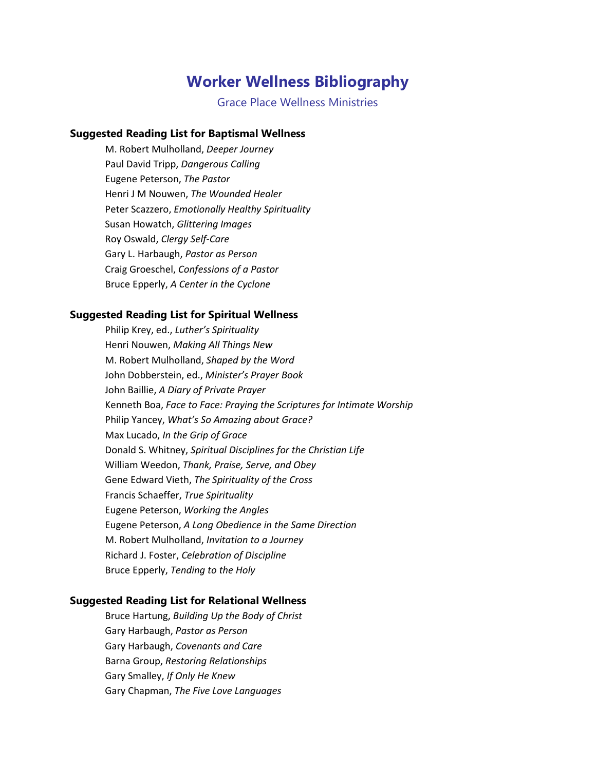# **Worker Wellness Bibliography**

Grace Place Wellness Ministries

# **Suggested Reading List for Baptismal Wellness**

M. Robert Mulholland, *Deeper Journey* Paul David Tripp, *Dangerous Calling* Eugene Peterson, *The Pastor* Henri J M Nouwen, *The Wounded Healer* Peter Scazzero, *Emotionally Healthy Spirituality* Susan Howatch, *Glittering Images* Roy Oswald, *Clergy Self-Care* Gary L. Harbaugh, *Pastor as Person* Craig Groeschel, *Confessions of a Pastor* Bruce Epperly, *A Center in the Cyclone*

# **Suggested Reading List for Spiritual Wellness**

Philip Krey, ed., *Luther's Spirituality* Henri Nouwen, *Making All Things New* M. Robert Mulholland, *Shaped by the Word* John Dobberstein, ed., *Minister's Prayer Book* John Baillie, *A Diary of Private Prayer* Kenneth Boa, *Face to Face: Praying the Scriptures for Intimate Worship* Philip Yancey, *What's So Amazing about Grace?* Max Lucado, *In the Grip of Grace* Donald S. Whitney, *Spiritual Disciplines for the Christian Life* William Weedon, *Thank, Praise, Serve, and Obey* Gene Edward Vieth, *The Spirituality of the Cross* Francis Schaeffer, *True Spirituality* Eugene Peterson, *Working the Angles* Eugene Peterson, *A Long Obedience in the Same Direction* M. Robert Mulholland, *Invitation to a Journey* Richard J. Foster, *Celebration of Discipline* Bruce Epperly, *Tending to the Holy*

## **Suggested Reading List for Relational Wellness**

Bruce Hartung, *Building Up the Body of Christ* Gary Harbaugh, *Pastor as Person* Gary Harbaugh, *Covenants and Care* Barna Group, *Restoring Relationships* Gary Smalley, *If Only He Knew* Gary Chapman, *The Five Love Languages*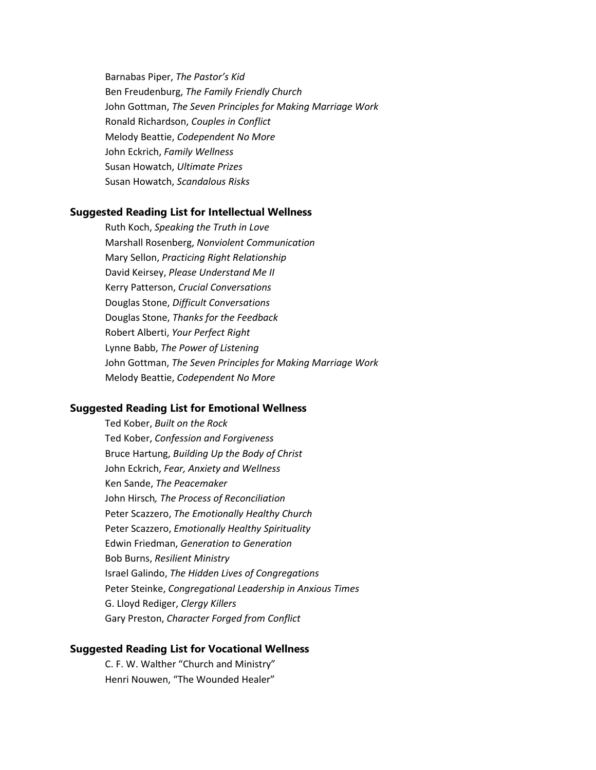Barnabas Piper, *The Pastor's Kid* Ben Freudenburg, *The Family Friendly Church* John Gottman, *The Seven Principles for Making Marriage Work* Ronald Richardson, *Couples in Conflict* Melody Beattie, *Codependent No More* John Eckrich, *Family Wellness* Susan Howatch, *Ultimate Prizes* Susan Howatch, *Scandalous Risks*

#### **Suggested Reading List for Intellectual Wellness**

Ruth Koch, *Speaking the Truth in Love* Marshall Rosenberg, *Nonviolent Communication* Mary Sellon, *Practicing Right Relationship* David Keirsey, *Please Understand Me II* Kerry Patterson, *Crucial Conversations* Douglas Stone, *Difficult Conversations* Douglas Stone, *Thanks for the Feedback* Robert Alberti, *Your Perfect Right* Lynne Babb, *The Power of Listening* John Gottman, *The Seven Principles for Making Marriage Work* Melody Beattie, *Codependent No More*

#### **Suggested Reading List for Emotional Wellness**

Ted Kober, *Built on the Rock* Ted Kober, *Confession and Forgiveness* Bruce Hartung, *Building Up the Body of Christ* John Eckrich, *Fear, Anxiety and Wellness* Ken Sande, *The Peacemaker* John Hirsch*, The Process of Reconciliation* Peter Scazzero, *The Emotionally Healthy Church* Peter Scazzero, *Emotionally Healthy Spirituality* Edwin Friedman, *Generation to Generation* Bob Burns, *Resilient Ministry* Israel Galindo, *The Hidden Lives of Congregations* Peter Steinke, *Congregational Leadership in Anxious Times* G. Lloyd Rediger, *Clergy Killers* Gary Preston, *Character Forged from Conflict*

#### **Suggested Reading List for Vocational Wellness**

C. F. W. Walther "Church and Ministry" Henri Nouwen, "The Wounded Healer"